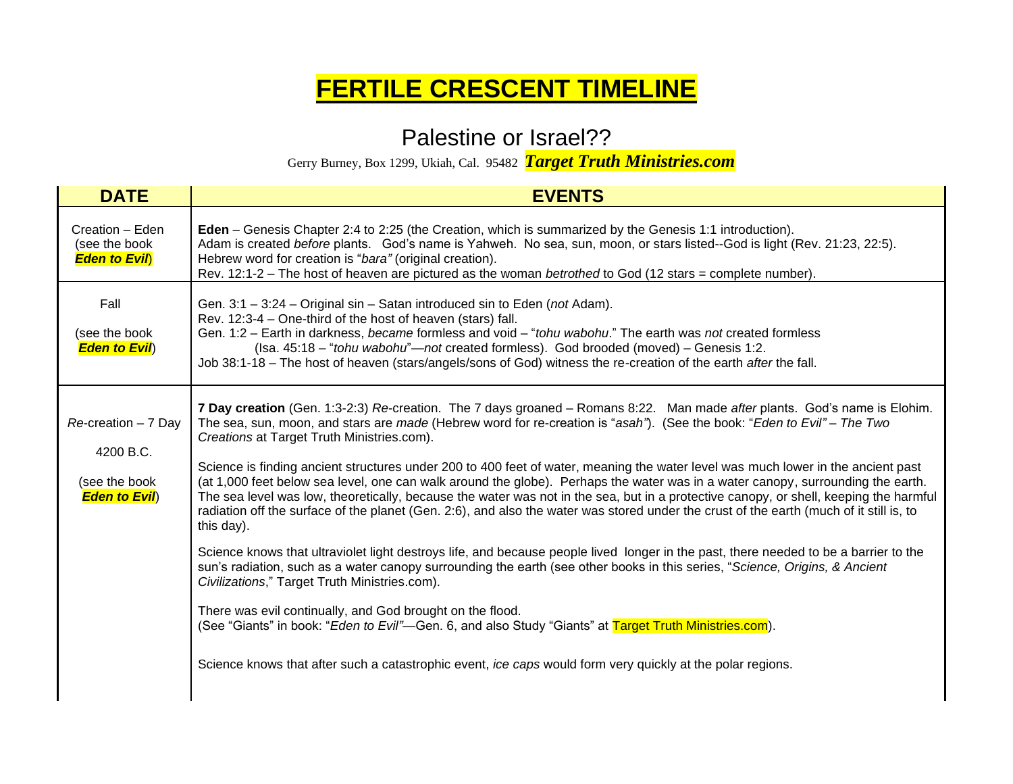## **FERTILE CRESCENT TIMELINE**

## Palestine or Israel??

Gerry Burney, Box 1299, Ukiah, Cal. 95482 *Target Truth Ministries.com*

| <b>DATE</b>                                                                           | <b>EVENTS</b>                                                                                                                                                                                                                                                                                                                                                                                                                                                                                                                                                                                                                                                                                                                                                                                                                                                                                                                                                                                                                                                                                                                                                                                                                                                                                                                                                                                                                                                                            |
|---------------------------------------------------------------------------------------|------------------------------------------------------------------------------------------------------------------------------------------------------------------------------------------------------------------------------------------------------------------------------------------------------------------------------------------------------------------------------------------------------------------------------------------------------------------------------------------------------------------------------------------------------------------------------------------------------------------------------------------------------------------------------------------------------------------------------------------------------------------------------------------------------------------------------------------------------------------------------------------------------------------------------------------------------------------------------------------------------------------------------------------------------------------------------------------------------------------------------------------------------------------------------------------------------------------------------------------------------------------------------------------------------------------------------------------------------------------------------------------------------------------------------------------------------------------------------------------|
| Creation - Eden<br>(see the book<br><b>Eden to Evil</b>                               | Eden - Genesis Chapter 2:4 to 2:25 (the Creation, which is summarized by the Genesis 1:1 introduction).<br>Adam is created before plants. God's name is Yahweh. No sea, sun, moon, or stars listed--God is light (Rev. 21:23, 22:5).<br>Hebrew word for creation is "bara" (original creation).<br>Rev. 12:1-2 – The host of heaven are pictured as the woman betrothed to God (12 stars = complete number).                                                                                                                                                                                                                                                                                                                                                                                                                                                                                                                                                                                                                                                                                                                                                                                                                                                                                                                                                                                                                                                                             |
| Fall<br>(see the book<br><b>Eden to Evil</b> )                                        | Gen. 3:1 - 3:24 - Original sin - Satan introduced sin to Eden (not Adam).<br>Rev. 12:3-4 – One-third of the host of heaven (stars) fall.<br>Gen. 1:2 - Earth in darkness, became formless and void - "tohu wabohu." The earth was not created formless<br>(Isa. 45:18 - "tohu wabohu"-not created formless). God brooded (moved) - Genesis 1:2.<br>Job 38:1-18 - The host of heaven (stars/angels/sons of God) witness the re-creation of the earth after the fall.                                                                                                                                                                                                                                                                                                                                                                                                                                                                                                                                                                                                                                                                                                                                                                                                                                                                                                                                                                                                                      |
| $Re\text{-}$ creation $-7$ Day<br>4200 B.C.<br>(see the book<br><b>Eden to Evil</b> ) | 7 Day creation (Gen. 1:3-2:3) Re-creation. The 7 days groaned - Romans 8:22. Man made after plants. God's name is Elohim.<br>The sea, sun, moon, and stars are made (Hebrew word for re-creation is "asah"). (See the book: "Eden to Evil" - The Two<br>Creations at Target Truth Ministries.com).<br>Science is finding ancient structures under 200 to 400 feet of water, meaning the water level was much lower in the ancient past<br>(at 1,000 feet below sea level, one can walk around the globe). Perhaps the water was in a water canopy, surrounding the earth.<br>The sea level was low, theoretically, because the water was not in the sea, but in a protective canopy, or shell, keeping the harmful<br>radiation off the surface of the planet (Gen. 2:6), and also the water was stored under the crust of the earth (much of it still is, to<br>this day).<br>Science knows that ultraviolet light destroys life, and because people lived longer in the past, there needed to be a barrier to the<br>sun's radiation, such as a water canopy surrounding the earth (see other books in this series, "Science, Origins, & Ancient<br>Civilizations," Target Truth Ministries.com).<br>There was evil continually, and God brought on the flood.<br>(See "Giants" in book: "Eden to Evil"—Gen. 6, and also Study "Giants" at Target Truth Ministries.com).<br>Science knows that after such a catastrophic event, ice caps would form very quickly at the polar regions. |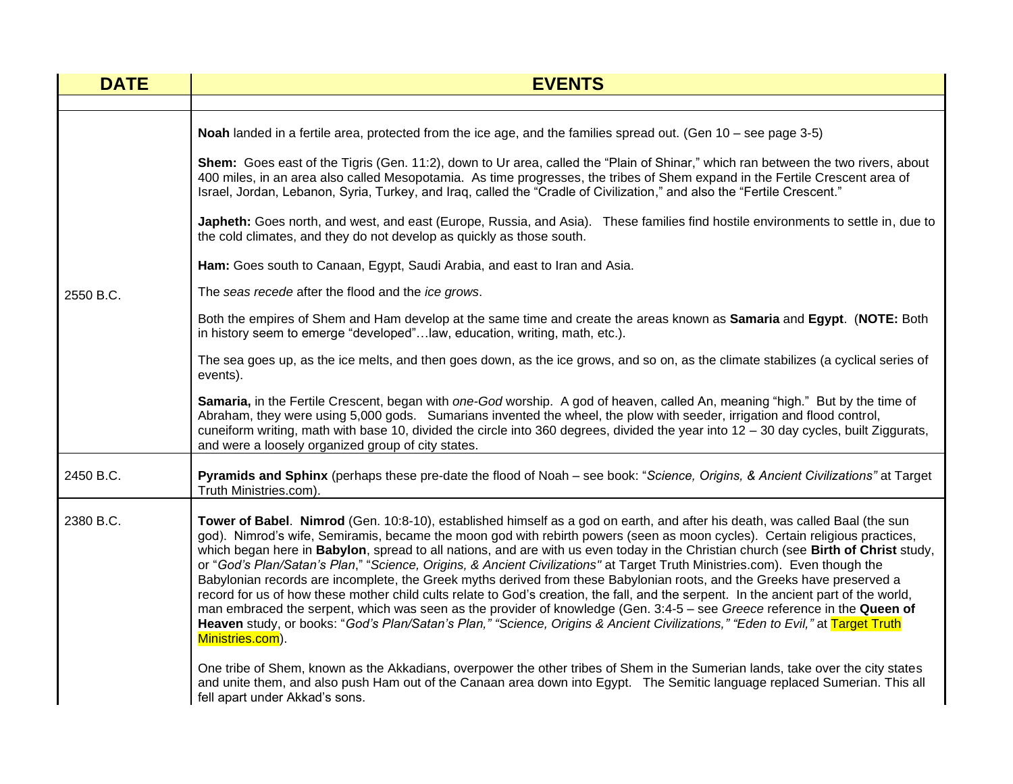| <b>DATE</b> | <b>EVENTS</b>                                                                                                                                                                                                                                                                                                                                                                                                                                                                                                                                                                                                                                                                                                                                                                                                                                                                                                                                                                                                                                                                       |
|-------------|-------------------------------------------------------------------------------------------------------------------------------------------------------------------------------------------------------------------------------------------------------------------------------------------------------------------------------------------------------------------------------------------------------------------------------------------------------------------------------------------------------------------------------------------------------------------------------------------------------------------------------------------------------------------------------------------------------------------------------------------------------------------------------------------------------------------------------------------------------------------------------------------------------------------------------------------------------------------------------------------------------------------------------------------------------------------------------------|
|             |                                                                                                                                                                                                                                                                                                                                                                                                                                                                                                                                                                                                                                                                                                                                                                                                                                                                                                                                                                                                                                                                                     |
|             | Noah landed in a fertile area, protected from the ice age, and the families spread out. (Gen 10 – see page 3-5)                                                                                                                                                                                                                                                                                                                                                                                                                                                                                                                                                                                                                                                                                                                                                                                                                                                                                                                                                                     |
| 2550 B.C.   | Shem: Goes east of the Tigris (Gen. 11:2), down to Ur area, called the "Plain of Shinar," which ran between the two rivers, about<br>400 miles, in an area also called Mesopotamia. As time progresses, the tribes of Shem expand in the Fertile Crescent area of<br>Israel, Jordan, Lebanon, Syria, Turkey, and Iraq, called the "Cradle of Civilization," and also the "Fertile Crescent."                                                                                                                                                                                                                                                                                                                                                                                                                                                                                                                                                                                                                                                                                        |
|             | Japheth: Goes north, and west, and east (Europe, Russia, and Asia). These families find hostile environments to settle in, due to<br>the cold climates, and they do not develop as quickly as those south.                                                                                                                                                                                                                                                                                                                                                                                                                                                                                                                                                                                                                                                                                                                                                                                                                                                                          |
|             | Ham: Goes south to Canaan, Egypt, Saudi Arabia, and east to Iran and Asia.                                                                                                                                                                                                                                                                                                                                                                                                                                                                                                                                                                                                                                                                                                                                                                                                                                                                                                                                                                                                          |
|             | The seas recede after the flood and the ice grows.                                                                                                                                                                                                                                                                                                                                                                                                                                                                                                                                                                                                                                                                                                                                                                                                                                                                                                                                                                                                                                  |
|             | Both the empires of Shem and Ham develop at the same time and create the areas known as Samaria and Egypt. (NOTE: Both<br>in history seem to emerge "developed"law, education, writing, math, etc.).                                                                                                                                                                                                                                                                                                                                                                                                                                                                                                                                                                                                                                                                                                                                                                                                                                                                                |
|             | The sea goes up, as the ice melts, and then goes down, as the ice grows, and so on, as the climate stabilizes (a cyclical series of<br>events).                                                                                                                                                                                                                                                                                                                                                                                                                                                                                                                                                                                                                                                                                                                                                                                                                                                                                                                                     |
|             | Samaria, in the Fertile Crescent, began with one-God worship. A god of heaven, called An, meaning "high." But by the time of<br>Abraham, they were using 5,000 gods. Sumarians invented the wheel, the plow with seeder, irrigation and flood control,<br>cuneiform writing, math with base 10, divided the circle into 360 degrees, divided the year into $12 - 30$ day cycles, built Ziggurats,<br>and were a loosely organized group of city states.                                                                                                                                                                                                                                                                                                                                                                                                                                                                                                                                                                                                                             |
| 2450 B.C.   | Pyramids and Sphinx (perhaps these pre-date the flood of Noah – see book: "Science, Origins, & Ancient Civilizations" at Target<br>Truth Ministries.com).                                                                                                                                                                                                                                                                                                                                                                                                                                                                                                                                                                                                                                                                                                                                                                                                                                                                                                                           |
| 2380 B.C.   | Tower of Babel. Nimrod (Gen. 10:8-10), established himself as a god on earth, and after his death, was called Baal (the sun<br>god). Nimrod's wife, Semiramis, became the moon god with rebirth powers (seen as moon cycles). Certain religious practices,<br>which began here in Babylon, spread to all nations, and are with us even today in the Christian church (see Birth of Christ study,<br>or "God's Plan/Satan's Plan," "Science, Origins, & Ancient Civilizations" at Target Truth Ministries.com). Even though the<br>Babylonian records are incomplete, the Greek myths derived from these Babylonian roots, and the Greeks have preserved a<br>record for us of how these mother child cults relate to God's creation, the fall, and the serpent. In the ancient part of the world,<br>man embraced the serpent, which was seen as the provider of knowledge (Gen. 3:4-5 - see Greece reference in the Queen of<br>Heaven study, or books: "God's Plan/Satan's Plan," "Science, Origins & Ancient Civilizations," "Eden to Evil," at Target Truth<br>Ministries.com). |
|             | One tribe of Shem, known as the Akkadians, overpower the other tribes of Shem in the Sumerian lands, take over the city states<br>and unite them, and also push Ham out of the Canaan area down into Egypt. The Semitic language replaced Sumerian. This all<br>fell apart under Akkad's sons.                                                                                                                                                                                                                                                                                                                                                                                                                                                                                                                                                                                                                                                                                                                                                                                      |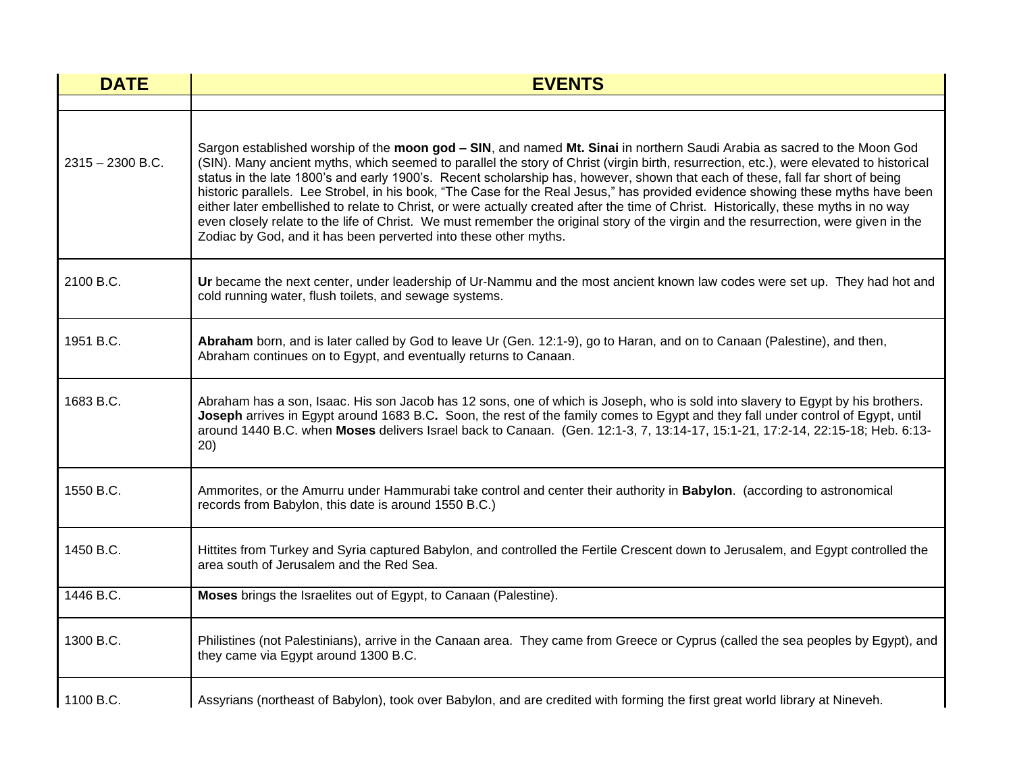| <b>DATE</b>        | <b>EVENTS</b>                                                                                                                                                                                                                                                                                                                                                                                                                                                                                                                                                                                                                                                                                                                                                                                                                                                                                 |
|--------------------|-----------------------------------------------------------------------------------------------------------------------------------------------------------------------------------------------------------------------------------------------------------------------------------------------------------------------------------------------------------------------------------------------------------------------------------------------------------------------------------------------------------------------------------------------------------------------------------------------------------------------------------------------------------------------------------------------------------------------------------------------------------------------------------------------------------------------------------------------------------------------------------------------|
|                    |                                                                                                                                                                                                                                                                                                                                                                                                                                                                                                                                                                                                                                                                                                                                                                                                                                                                                               |
| $2315 - 2300$ B.C. | Sargon established worship of the moon god - SIN, and named Mt. Sinai in northern Saudi Arabia as sacred to the Moon God<br>(SIN). Many ancient myths, which seemed to parallel the story of Christ (virgin birth, resurrection, etc.), were elevated to historical<br>status in the late 1800's and early 1900's. Recent scholarship has, however, shown that each of these, fall far short of being<br>historic parallels. Lee Strobel, in his book, "The Case for the Real Jesus," has provided evidence showing these myths have been<br>either later embellished to relate to Christ, or were actually created after the time of Christ. Historically, these myths in no way<br>even closely relate to the life of Christ. We must remember the original story of the virgin and the resurrection, were given in the<br>Zodiac by God, and it has been perverted into these other myths. |
| 2100 B.C.          | Ur became the next center, under leadership of Ur-Nammu and the most ancient known law codes were set up. They had hot and<br>cold running water, flush toilets, and sewage systems.                                                                                                                                                                                                                                                                                                                                                                                                                                                                                                                                                                                                                                                                                                          |
| 1951 B.C.          | Abraham born, and is later called by God to leave Ur (Gen. 12:1-9), go to Haran, and on to Canaan (Palestine), and then,<br>Abraham continues on to Egypt, and eventually returns to Canaan.                                                                                                                                                                                                                                                                                                                                                                                                                                                                                                                                                                                                                                                                                                  |
| 1683 B.C.          | Abraham has a son, Isaac. His son Jacob has 12 sons, one of which is Joseph, who is sold into slavery to Egypt by his brothers.<br>Joseph arrives in Egypt around 1683 B.C. Soon, the rest of the family comes to Egypt and they fall under control of Egypt, until<br>around 1440 B.C. when Moses delivers Israel back to Canaan. (Gen. 12:1-3, 7, 13:14-17, 15:1-21, 17:2-14, 22:15-18; Heb. 6:13-<br>20)                                                                                                                                                                                                                                                                                                                                                                                                                                                                                   |
| 1550 B.C.          | Ammorites, or the Amurru under Hammurabi take control and center their authority in Babylon. (according to astronomical<br>records from Babylon, this date is around 1550 B.C.)                                                                                                                                                                                                                                                                                                                                                                                                                                                                                                                                                                                                                                                                                                               |
| 1450 B.C.          | Hittites from Turkey and Syria captured Babylon, and controlled the Fertile Crescent down to Jerusalem, and Egypt controlled the<br>area south of Jerusalem and the Red Sea.                                                                                                                                                                                                                                                                                                                                                                                                                                                                                                                                                                                                                                                                                                                  |
| 1446 B.C.          | Moses brings the Israelites out of Egypt, to Canaan (Palestine).                                                                                                                                                                                                                                                                                                                                                                                                                                                                                                                                                                                                                                                                                                                                                                                                                              |
| 1300 B.C.          | Philistines (not Palestinians), arrive in the Canaan area. They came from Greece or Cyprus (called the sea peoples by Egypt), and<br>they came via Egypt around 1300 B.C.                                                                                                                                                                                                                                                                                                                                                                                                                                                                                                                                                                                                                                                                                                                     |
| 1100 B.C.          | Assyrians (northeast of Babylon), took over Babylon, and are credited with forming the first great world library at Nineveh.                                                                                                                                                                                                                                                                                                                                                                                                                                                                                                                                                                                                                                                                                                                                                                  |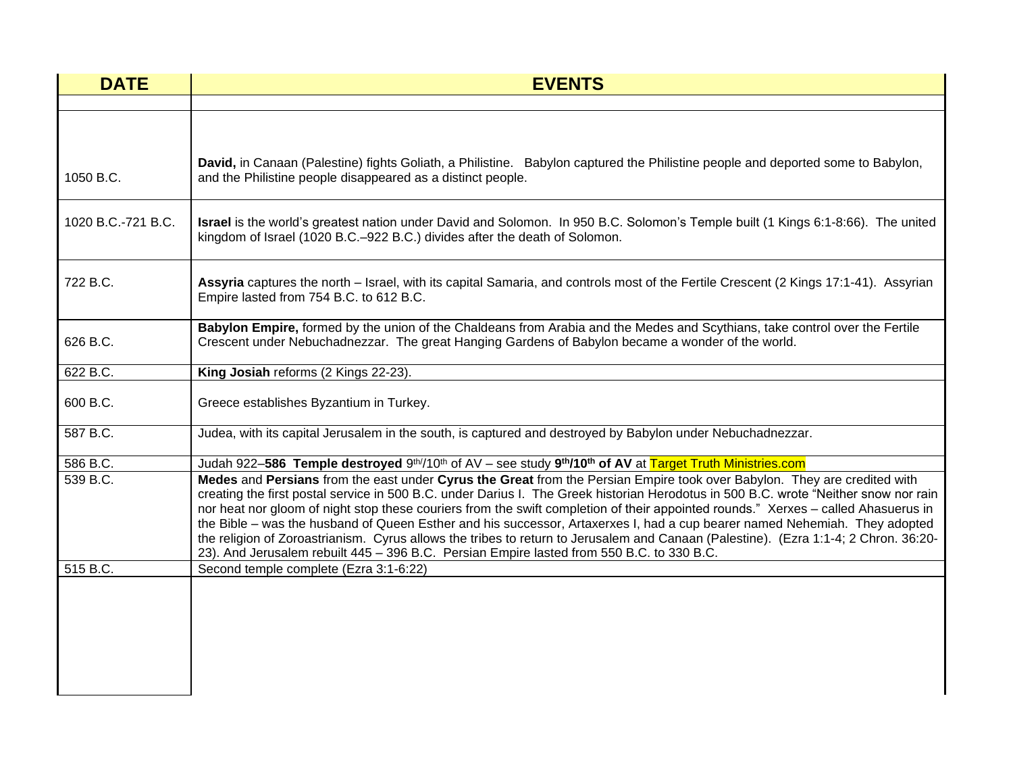| <b>DATE</b>        | <b>EVENTS</b>                                                                                                                                                                                                                                                                                                                                                                                                                                                                                                                                                                                                                                                                                                                                                            |
|--------------------|--------------------------------------------------------------------------------------------------------------------------------------------------------------------------------------------------------------------------------------------------------------------------------------------------------------------------------------------------------------------------------------------------------------------------------------------------------------------------------------------------------------------------------------------------------------------------------------------------------------------------------------------------------------------------------------------------------------------------------------------------------------------------|
|                    |                                                                                                                                                                                                                                                                                                                                                                                                                                                                                                                                                                                                                                                                                                                                                                          |
|                    |                                                                                                                                                                                                                                                                                                                                                                                                                                                                                                                                                                                                                                                                                                                                                                          |
| 1050 B.C.          | David, in Canaan (Palestine) fights Goliath, a Philistine. Babylon captured the Philistine people and deported some to Babylon,<br>and the Philistine people disappeared as a distinct people.                                                                                                                                                                                                                                                                                                                                                                                                                                                                                                                                                                           |
| 1020 B.C.-721 B.C. | Israel is the world's greatest nation under David and Solomon. In 950 B.C. Solomon's Temple built (1 Kings 6:1-8:66). The united<br>kingdom of Israel (1020 B.C.-922 B.C.) divides after the death of Solomon.                                                                                                                                                                                                                                                                                                                                                                                                                                                                                                                                                           |
| 722 B.C.           | Assyria captures the north – Israel, with its capital Samaria, and controls most of the Fertile Crescent (2 Kings 17:1-41). Assyrian<br>Empire lasted from 754 B.C. to 612 B.C.                                                                                                                                                                                                                                                                                                                                                                                                                                                                                                                                                                                          |
| 626 B.C.           | Babylon Empire, formed by the union of the Chaldeans from Arabia and the Medes and Scythians, take control over the Fertile<br>Crescent under Nebuchadnezzar. The great Hanging Gardens of Babylon became a wonder of the world.                                                                                                                                                                                                                                                                                                                                                                                                                                                                                                                                         |
| 622 B.C.           | King Josiah reforms (2 Kings 22-23).                                                                                                                                                                                                                                                                                                                                                                                                                                                                                                                                                                                                                                                                                                                                     |
| 600 B.C.           | Greece establishes Byzantium in Turkey.                                                                                                                                                                                                                                                                                                                                                                                                                                                                                                                                                                                                                                                                                                                                  |
| 587 B.C.           | Judea, with its capital Jerusalem in the south, is captured and destroyed by Babylon under Nebuchadnezzar.                                                                                                                                                                                                                                                                                                                                                                                                                                                                                                                                                                                                                                                               |
| 586 B.C.           | Judah 922-586 Temple destroyed 9 <sup>th/</sup> /10 <sup>th</sup> of AV - see study 9 <sup>th</sup> /10 <sup>th</sup> of AV at Target Truth Ministries.com                                                                                                                                                                                                                                                                                                                                                                                                                                                                                                                                                                                                               |
| 539 B.C.           | Medes and Persians from the east under Cyrus the Great from the Persian Empire took over Babylon. They are credited with<br>creating the first postal service in 500 B.C. under Darius I. The Greek historian Herodotus in 500 B.C. wrote "Neither snow nor rain<br>nor heat nor gloom of night stop these couriers from the swift completion of their appointed rounds." Xerxes - called Ahasuerus in<br>the Bible – was the husband of Queen Esther and his successor, Artaxerxes I, had a cup bearer named Nehemiah. They adopted<br>the religion of Zoroastrianism. Cyrus allows the tribes to return to Jerusalem and Canaan (Palestine). (Ezra 1:1-4; 2 Chron. 36:20-<br>23). And Jerusalem rebuilt 445 - 396 B.C. Persian Empire lasted from 550 B.C. to 330 B.C. |
| 515 B.C.           | Second temple complete (Ezra 3:1-6:22)                                                                                                                                                                                                                                                                                                                                                                                                                                                                                                                                                                                                                                                                                                                                   |
|                    |                                                                                                                                                                                                                                                                                                                                                                                                                                                                                                                                                                                                                                                                                                                                                                          |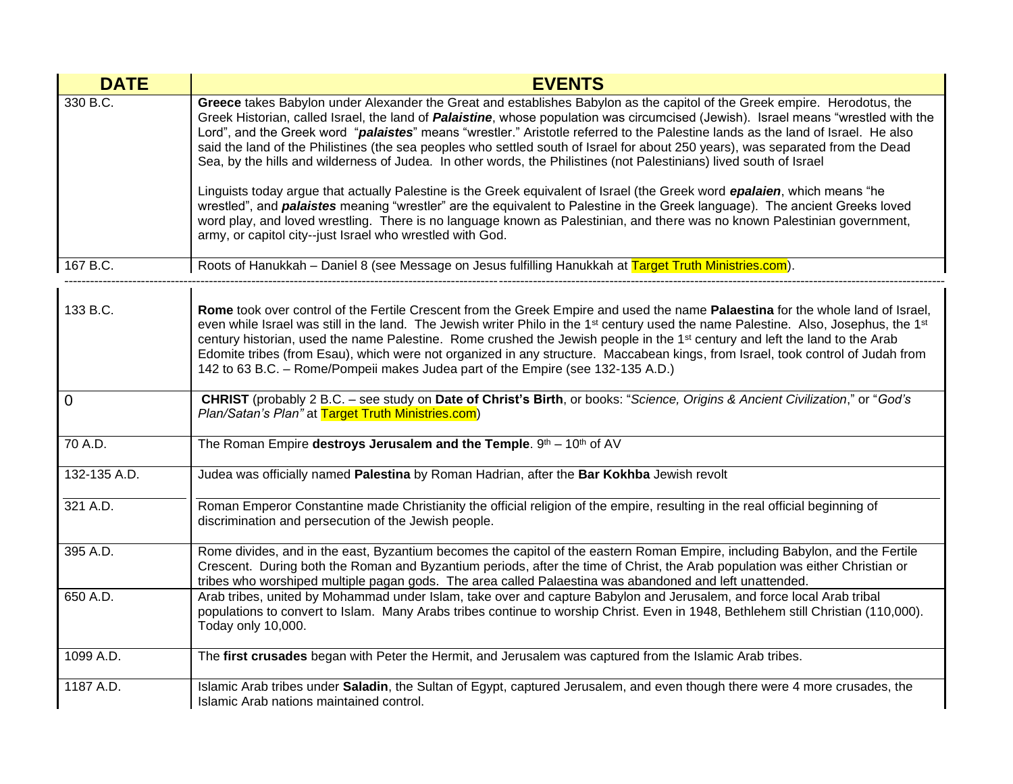| <b>DATE</b>  | <b>EVENTS</b>                                                                                                                                                                                                                                                                                                                                                                                                                                                                                                                                                                                                                                                         |
|--------------|-----------------------------------------------------------------------------------------------------------------------------------------------------------------------------------------------------------------------------------------------------------------------------------------------------------------------------------------------------------------------------------------------------------------------------------------------------------------------------------------------------------------------------------------------------------------------------------------------------------------------------------------------------------------------|
| 330 B.C.     | Greece takes Babylon under Alexander the Great and establishes Babylon as the capitol of the Greek empire. Herodotus, the<br>Greek Historian, called Israel, the land of <i>Palaistine</i> , whose population was circumcised (Jewish). Israel means "wrestled with the<br>Lord", and the Greek word "palaistes" means "wrestler." Aristotle referred to the Palestine lands as the land of Israel. He also<br>said the land of the Philistines (the sea peoples who settled south of Israel for about 250 years), was separated from the Dead<br>Sea, by the hills and wilderness of Judea. In other words, the Philistines (not Palestinians) lived south of Israel |
|              | Linguists today argue that actually Palestine is the Greek equivalent of Israel (the Greek word epalaien, which means "he<br>wrestled", and <b>palaistes</b> meaning "wrestler" are the equivalent to Palestine in the Greek language). The ancient Greeks loved<br>word play, and loved wrestling. There is no language known as Palestinian, and there was no known Palestinian government,<br>army, or capitol city--just Israel who wrestled with God.                                                                                                                                                                                                            |
| 167 B.C.     | Roots of Hanukkah - Daniel 8 (see Message on Jesus fulfilling Hanukkah at Target Truth Ministries.com).                                                                                                                                                                                                                                                                                                                                                                                                                                                                                                                                                               |
| 133 B.C.     | Rome took over control of the Fertile Crescent from the Greek Empire and used the name Palaestina for the whole land of Israel,<br>even while Israel was still in the land. The Jewish writer Philo in the 1 <sup>st</sup> century used the name Palestine. Also, Josephus, the 1 <sup>st</sup><br>century historian, used the name Palestine. Rome crushed the Jewish people in the 1 <sup>st</sup> century and left the land to the Arab<br>Edomite tribes (from Esau), which were not organized in any structure. Maccabean kings, from Israel, took control of Judah from<br>142 to 63 B.C. - Rome/Pompeii makes Judea part of the Empire (see 132-135 A.D.)      |
| 0            | CHRIST (probably 2 B.C. - see study on Date of Christ's Birth, or books: "Science, Origins & Ancient Civilization," or "God's<br>Plan/Satan's Plan" at Target Truth Ministries.com)                                                                                                                                                                                                                                                                                                                                                                                                                                                                                   |
| 70 A.D.      | The Roman Empire destroys Jerusalem and the Temple. $9th - 10th$ of AV                                                                                                                                                                                                                                                                                                                                                                                                                                                                                                                                                                                                |
| 132-135 A.D. | Judea was officially named Palestina by Roman Hadrian, after the Bar Kokhba Jewish revolt                                                                                                                                                                                                                                                                                                                                                                                                                                                                                                                                                                             |
| 321 A.D.     | Roman Emperor Constantine made Christianity the official religion of the empire, resulting in the real official beginning of<br>discrimination and persecution of the Jewish people.                                                                                                                                                                                                                                                                                                                                                                                                                                                                                  |
| 395 A.D.     | Rome divides, and in the east, Byzantium becomes the capitol of the eastern Roman Empire, including Babylon, and the Fertile<br>Crescent. During both the Roman and Byzantium periods, after the time of Christ, the Arab population was either Christian or<br>tribes who worshiped multiple pagan gods. The area called Palaestina was abandoned and left unattended.                                                                                                                                                                                                                                                                                               |
| 650 A.D.     | Arab tribes, united by Mohammad under Islam, take over and capture Babylon and Jerusalem, and force local Arab tribal<br>populations to convert to Islam. Many Arabs tribes continue to worship Christ. Even in 1948, Bethlehem still Christian (110,000).<br>Today only 10,000.                                                                                                                                                                                                                                                                                                                                                                                      |
| 1099 A.D.    | The first crusades began with Peter the Hermit, and Jerusalem was captured from the Islamic Arab tribes.                                                                                                                                                                                                                                                                                                                                                                                                                                                                                                                                                              |
| 1187 A.D.    | Islamic Arab tribes under Saladin, the Sultan of Egypt, captured Jerusalem, and even though there were 4 more crusades, the<br>Islamic Arab nations maintained control.                                                                                                                                                                                                                                                                                                                                                                                                                                                                                               |